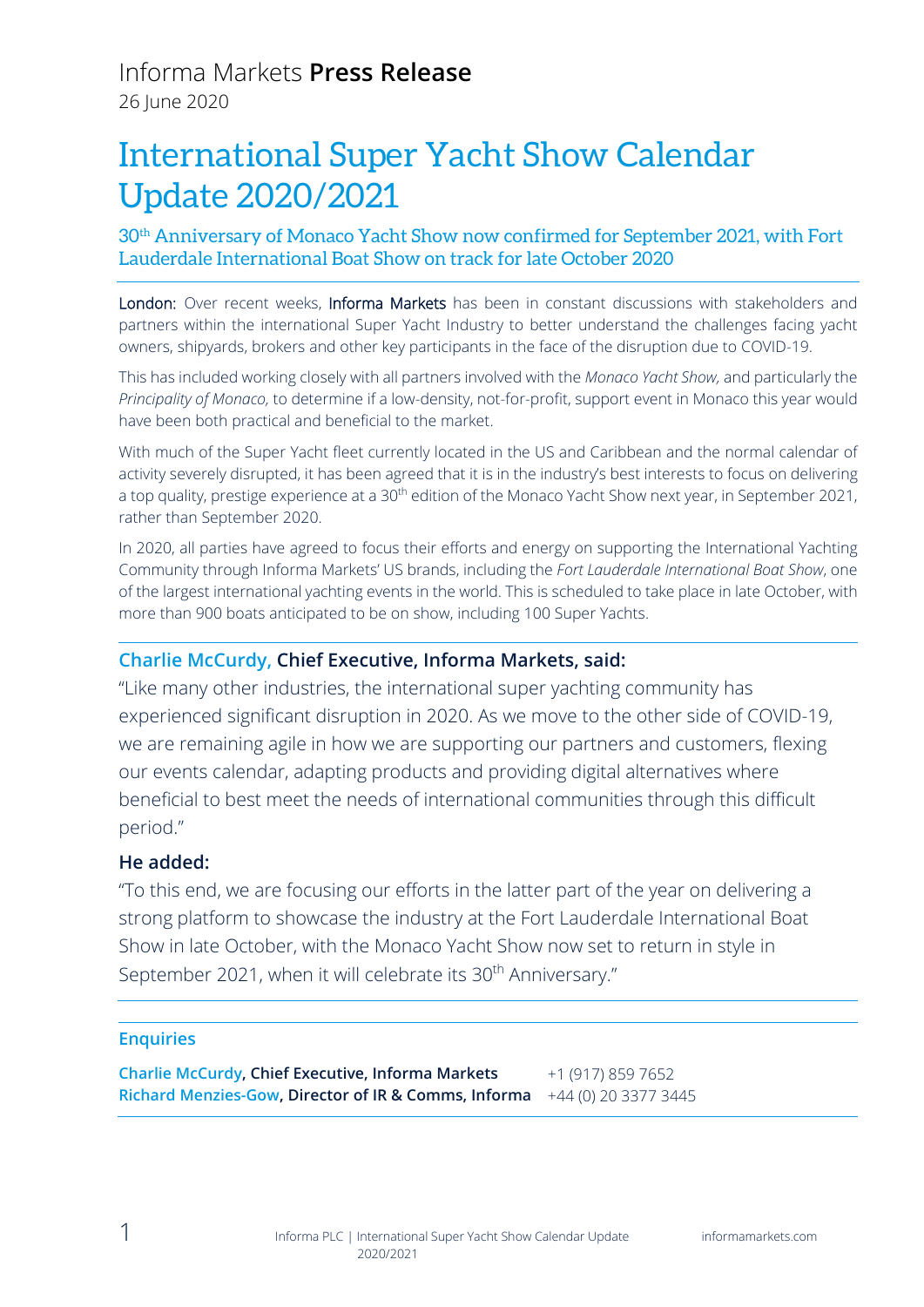# International Super Yacht Show Calendar Update 2020/2021

30th Anniversary of Monaco Yacht Show now confirmed for September 2021, with Fort Lauderdale International Boat Show on track for late October 2020

London: Over recent weeks, Informa Markets has been in constant discussions with stakeholders and partners within the international Super Yacht Industry to better understand the challenges facing yacht owners, shipyards, brokers and other key participants in the face of the disruption due to COVID-19.

This has included working closely with all partners involved with the *Monaco Yacht Show,* and particularly the *Principality of Monaco,* to determine if a low-density, not-for-profit, support event in Monaco this year would have been both practical and beneficial to the market.

With much of the Super Yacht fleet currently located in the US and Caribbean and the normal calendar of activity severely disrupted, it has been agreed that it is in the industry's best interests to focus on delivering a top quality, prestige experience at a 30<sup>th</sup> edition of the Monaco Yacht Show next year, in September 2021, rather than September 2020.

In 2020, all parties have agreed to focus their efforts and energy on supporting the International Yachting Community through Informa Markets' US brands, including the *Fort Lauderdale International Boat Show*, one of the largest international yachting events in the world. This is scheduled to take place in late October, with more than 900 boats anticipated to be on show, including 100 Super Yachts.

## **Charlie McCurdy, Chief Executive, Informa Markets, said:**

"Like many other industries, the international super yachting community has experienced significant disruption in 2020. As we move to the other side of COVID-19, we are remaining agile in how we are supporting our partners and customers, flexing our events calendar, adapting products and providing digital alternatives where beneficial to best meet the needs of international communities through this difficult period."

### **He added:**

"To this end, we are focusing our efforts in the latter part of the year on delivering a strong platform to showcase the industry at the Fort Lauderdale International Boat Show in late October, with the Monaco Yacht Show now set to return in style in September 2021, when it will celebrate its 30<sup>th</sup> Anniversary."

#### **Enquiries**

**Charlie McCurdy, Chief Executive, Informa Markets Richard Menzies-Gow, Director of IR & Comms, Informa** +44 (0) 20 3377 3445+1 (917) 859 7652